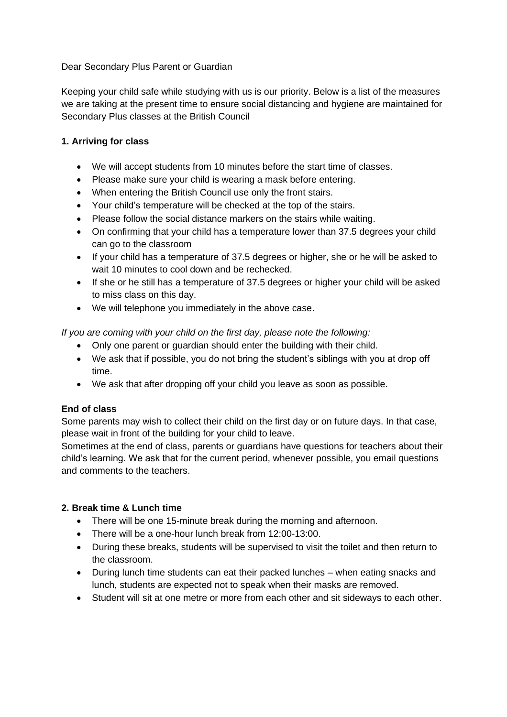#### Dear Secondary Plus Parent or Guardian

Keeping your child safe while studying with us is our priority. Below is a list of the measures we are taking at the present time to ensure social distancing and hygiene are maintained for Secondary Plus classes at the British Council

## **1. Arriving for class**

- We will accept students from 10 minutes before the start time of classes.
- Please make sure your child is wearing a mask before entering.
- When entering the British Council use only the front stairs.
- Your child's temperature will be checked at the top of the stairs.
- Please follow the social distance markers on the stairs while waiting.
- On confirming that your child has a temperature lower than 37.5 degrees your child can go to the classroom
- If your child has a temperature of 37.5 degrees or higher, she or he will be asked to wait 10 minutes to cool down and be rechecked.
- If she or he still has a temperature of 37.5 degrees or higher your child will be asked to miss class on this day.
- We will telephone you immediately in the above case.

*If you are coming with your child on the first day, please note the following:*

- Only one parent or guardian should enter the building with their child.
- We ask that if possible, you do not bring the student's siblings with you at drop off time.
- We ask that after dropping off your child you leave as soon as possible.

## **End of class**

Some parents may wish to collect their child on the first day or on future days. In that case, please wait in front of the building for your child to leave.

Sometimes at the end of class, parents or guardians have questions for teachers about their child's learning. We ask that for the current period, whenever possible, you email questions and comments to the teachers.

## **2. Break time & Lunch time**

- There will be one 15-minute break during the morning and afternoon.
- There will be a one-hour lunch break from 12:00-13:00.
- During these breaks, students will be supervised to visit the toilet and then return to the classroom.
- During lunch time students can eat their packed lunches when eating snacks and lunch, students are expected not to speak when their masks are removed.
- Student will sit at one metre or more from each other and sit sideways to each other.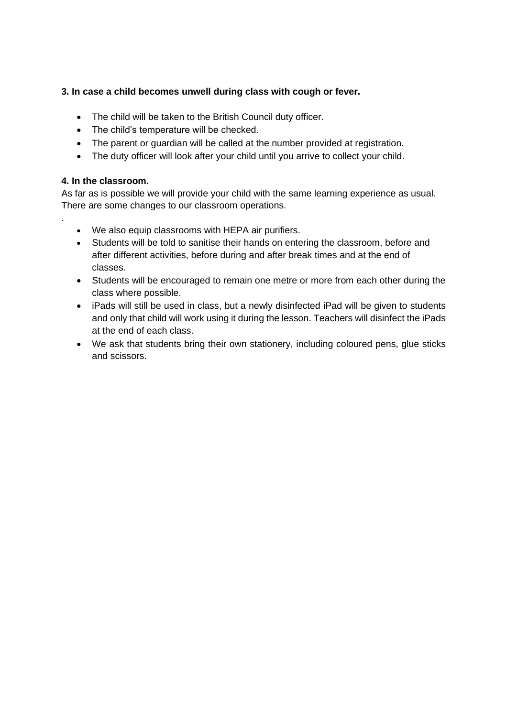# **3. In case a child becomes unwell during class with cough or fever.**

- The child will be taken to the British Council duty officer.
- The child's temperature will be checked.
- The parent or guardian will be called at the number provided at registration.
- The duty officer will look after your child until you arrive to collect your child.

## **4. In the classroom.**

.

As far as is possible we will provide your child with the same learning experience as usual. There are some changes to our classroom operations.

- We also equip classrooms with HEPA air purifiers.
- Students will be told to sanitise their hands on entering the classroom, before and after different activities, before during and after break times and at the end of classes.
- Students will be encouraged to remain one metre or more from each other during the class where possible.
- iPads will still be used in class, but a newly disinfected iPad will be given to students and only that child will work using it during the lesson. Teachers will disinfect the iPads at the end of each class.
- We ask that students bring their own stationery, including coloured pens, glue sticks and scissors.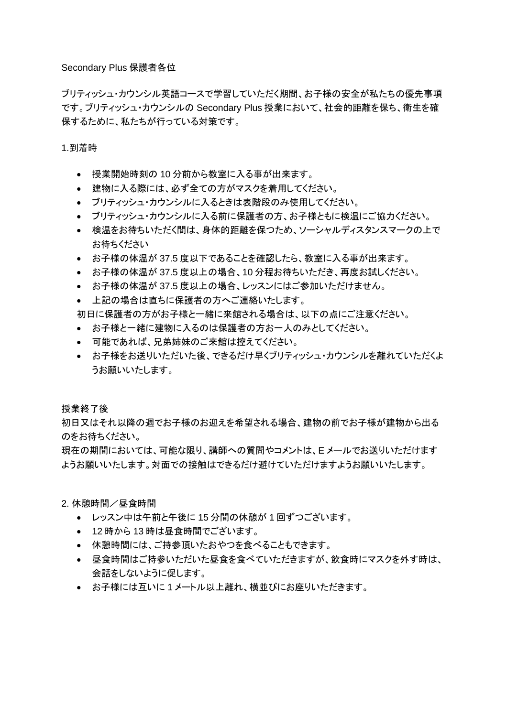#### Secondary Plus 保護者各位

ブリティッシュ・カウンシル英語コースで学習していただく期間、お子様の安全が私たちの優先事項 です。ブリティッシュ・カウンシルの Secondary Plus 授業において、社会的距離を保ち、衛生を確 保するために、私たちが行っている対策です。

1.到着時

- 授業開始時刻の 10 分前から教室に入る事が出来ます。
- 建物に入る際には、必ず全ての方がマスクを着用してください。
- ブリティッシュ・カウンシルに入るときは表階段のみ使用してください。
- ブリティッシュ・カウンシルに入る前に保護者の方、お子様ともに検温にご協力ください。
- 検温をお待ちいただく間は、身体的距離を保つため、ソーシャルディスタンスマークの上で お待ちください
- お子様の体温が 37.5 度以下であることを確認したら、教室に入る事が出来ます。
- お子様の体温が 37.5 度以上の場合、10 分程お待ちいただき、再度お試しください。
- お子様の体温が 37.5 度以上の場合、レッスンにはご参加いただけません。
- 上記の場合は直ちに保護者の方へご連絡いたします。

初日に保護者の方がお子様と一緒に来館される場合は、以下の点にご注意ください。

- お子様と一緒に建物に入るのは保護者の方お一人のみとしてください。
- 可能であれば、兄弟姉妹のご来館は控えてください。
- お子様をお送りいただいた後、できるだけ早くブリティッシュ・カウンシルを離れていただくよ うお願いいたします。

授業終了後

初日又はそれ以降の週でお子様のお迎えを希望される場合、建物の前でお子様が建物から出る のをお待ちください。

現在の期間においては、可能な限り、講師への質問やコメントは、E メールでお送りいただけます ようお願いいたします。対面での接触はできるだけ避けていただけますようお願いいたします。

- 2. 休憩時間/昼食時間
	- レッスン中は午前と午後に 15 分間の休憩が 1 回ずつございます。
	- 12 時から13 時は昼食時間でございます。
	- 休憩時間には、ご持参頂いたおやつを食べることもできます。
	- 昼食時間はご持参いただいた昼食を食べていただきますが、飲食時にマスクを外す時は、 会話をしないように促します。
	- お子様には互いに 1 メートル以上離れ、横並びにお座りいただきます。